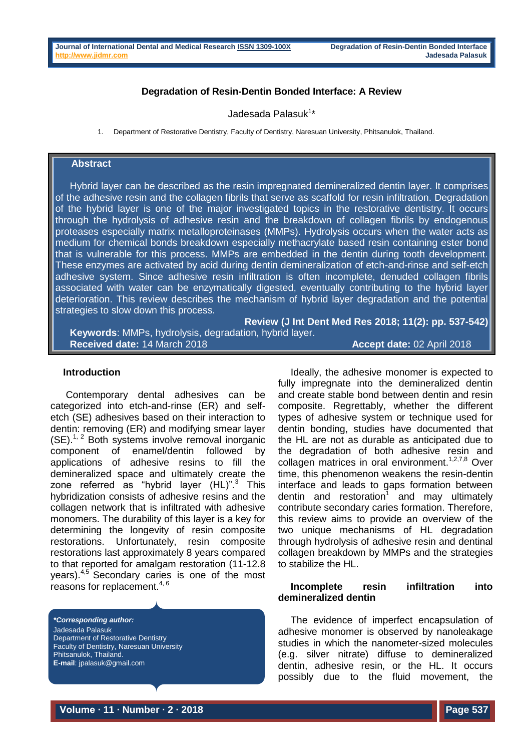### **Degradation of Resin-Dentin Bonded Interface: A Review**

Jadesada Palasuk<sup>1</sup>\*

1. Department of Restorative Dentistry, Faculty of Dentistry, Naresuan University, Phitsanulok, Thailand.

### **Abstract**

Hybrid layer can be described as the resin impregnated demineralized dentin layer. It comprises of the adhesive resin and the collagen fibrils that serve as scaffold for resin infiltration. Degradation of the hybrid layer is one of the major investigated topics in the restorative dentistry. It occurs through the hydrolysis of adhesive resin and the breakdown of collagen fibrils by endogenous proteases especially matrix metalloproteinases (MMPs). Hydrolysis occurs when the water acts as medium for chemical bonds breakdown especially methacrylate based resin containing ester bond that is vulnerable for this process. MMPs are embedded in the dentin during tooth development. These enzymes are activated by acid during dentin demineralization of etch-and-rinse and self-etch adhesive system. Since adhesive resin infiltration is often incomplete, denuded collagen fibrils associated with water can be enzymatically digested, eventually contributing to the hybrid layer deterioration. This review describes the mechanism of hybrid layer degradation and the potential strategies to slow down this process.

**Review (J Int Dent Med Res 2018; 11(2): pp. 537-542) Keywords**: MMPs, hydrolysis, degradation, hybrid layer. **Received date:** 14 March 2018 **Accept date:** 02 April 2018

#### **Introduction**

Contemporary dental adhesives can be categorized into etch-and-rinse (ER) and selfetch (SE) adhesives based on their interaction to dentin: removing (ER) and modifying smear layer  $(SE)$ .<sup>1, 2</sup> Both systems involve removal inorganic component of enamel/dentin followed by applications of adhesive resins to fill the demineralized space and ultimately create the zone referred as "hybrid layer  $(HL)$ ".<sup>3</sup> This hybridization consists of adhesive resins and the collagen network that is infiltrated with adhesive monomers. The durability of this layer is a key for determining the longevity of resin composite restorations. Unfortunately, resin composite restorations last approximately 8 years compared to that reported for amalgam restoration (11-12.8 years).4,5 Secondary caries is one of the most reasons for replacement. $4, 6$ 

*\*Corresponding author:* Jadesada Palasuk Department of Restorative Dentistry Faculty of Dentistry, Naresuan University Phitsanulok, Thailand. **E-mail**: jpalasuk@gmail.com

Ideally, the adhesive monomer is expected to fully impregnate into the demineralized dentin and create stable bond between dentin and resin composite. Regrettably, whether the different types of adhesive system or technique used for dentin bonding, studies have documented that the HL are not as durable as anticipated due to the degradation of both adhesive resin and collagen matrices in oral environment.<sup>1,2,7,8</sup> Over time, this phenomenon weakens the resin-dentin interface and leads to gaps formation between dentin and restoration<sup>1</sup> and may ultimately contribute secondary caries formation. Therefore, this review aims to provide an overview of the two unique mechanisms of HL degradation through hydrolysis of adhesive resin and dentinal collagen breakdown by MMPs and the strategies to stabilize the HL.

## **Incomplete resin infiltration into demineralized dentin**

The evidence of imperfect encapsulation of adhesive monomer is observed by nanoleakage studies in which the nanometer-sized molecules (e.g. silver nitrate) diffuse to demineralized dentin, adhesive resin, or the HL. It occurs possibly due to the fluid movement, the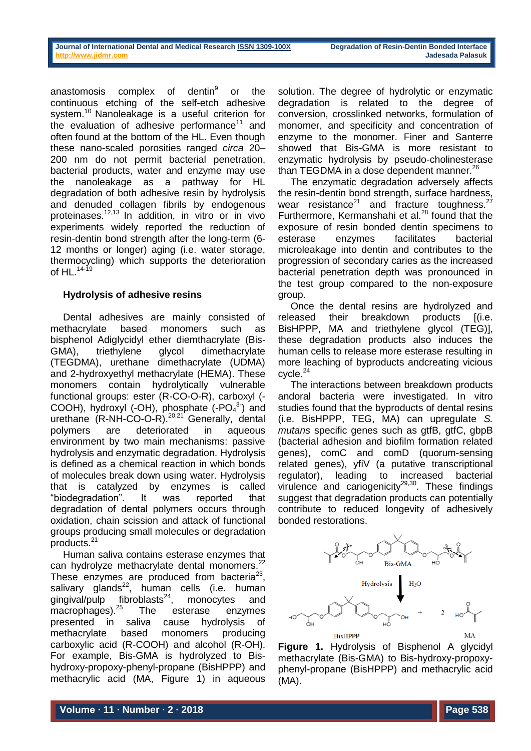anastomosis complex of dentin<sup>9</sup> or the continuous etching of the self-etch adhesive system.<sup>10</sup> Nanoleakage is a useful criterion for the evaluation of adhesive performance<sup>11</sup> and often found at the bottom of the HL. Even though these nano-scaled porosities ranged *circa* 20– 200 nm do not permit bacterial penetration, bacterial products, water and enzyme may use the nanoleakage as a pathway for HL degradation of both adhesive resin by hydrolysis and denuded collagen fibrils by endogenous proteinases.12,13 In addition, in vitro or in vivo experiments widely reported the reduction of resin-dentin bond strength after the long-term (6- 12 months or longer) aging (i.e. water storage, thermocycling) which supports the deterioration of  $HL$ .<sup>14-19</sup>

# **Hydrolysis of adhesive resins**

Dental adhesives are mainly consisted of methacrylate based monomers such as bisphenol Adiglycidyl ether diemthacrylate (Bis-GMA), triethylene glycol dimethacrylate (TEGDMA), urethane dimethacrylate (UDMA) and 2-hydroxyethyl methacrylate (HEMA). These monomers contain hydrolytically vulnerable functional groups: ester (R-CO-O-R), carboxyl (- COOH), hydroxyl (-OH), phosphate  $(-PO<sub>4</sub><sup>3</sup>)$  and urethane  $(R-NH-CO-O-R).^{20,21}$  Generally, dental polymers are deteriorated in aqueous environment by two main mechanisms: passive hydrolysis and enzymatic degradation. Hydrolysis is defined as a chemical reaction in which bonds of molecules break down using water. Hydrolysis that is catalyzed by enzymes is called "biodegradation". It was reported that degradation of dental polymers occurs through oxidation, chain scission and attack of functional groups producing small molecules or degradation products.<sup>21</sup>

Human saliva contains esterase enzymes that can hydrolyze methacrylate dental monomers.<sup>22</sup> These enzymes are produced from bacteria $23$ , salivary glands $^{22}$ , human cells (i.e. human gingival/pulp  $fibroblasts<sup>24</sup>$ , monocytes and macrophages).<sup>25</sup> The esterase enzymes presented in saliva cause hydrolysis of methacrylate based monomers producing carboxylic acid (R-COOH) and alcohol (R-OH). For example, Bis-GMA is hydrolyzed to Bishydroxy-propoxy-phenyl-propane (BisHPPP) and methacrylic acid (MA, Figure 1) in aqueous

solution. The degree of hydrolytic or enzymatic degradation is related to the degree of conversion, crosslinked networks, formulation of monomer, and specificity and concentration of enzyme to the monomer. Finer and Santerre showed that Bis-GMA is more resistant to enzymatic hydrolysis by pseudo-cholinesterase than TEGDMA in a dose dependent manner.<sup>26</sup>

The enzymatic degradation adversely affects the resin-dentin bond strength, surface hardness, wear resistance<sup>21</sup> and fracture toughness.<sup>27</sup> Furthermore, Kermanshahi et al.<sup>28</sup> found that the exposure of resin bonded dentin specimens to esterase enzymes facilitates bacterial microleakage into dentin and contributes to the progression of secondary caries as the increased bacterial penetration depth was pronounced in the test group compared to the non-exposure group.

Once the dental resins are hydrolyzed and released their breakdown products [(i.e. BisHPPP, MA and triethylene glycol (TEG)], these degradation products also induces the human cells to release more esterase resulting in more leaching of byproducts andcreating vicious cycle.<sup>24</sup>

The interactions between breakdown products andoral bacteria were investigated. In vitro studies found that the byproducts of dental resins (i.e. BisHPPP, TEG, MA) can upregulate *S. mutans* specific genes such as gtfB, gtfC, gbpB (bacterial adhesion and biofilm formation related genes), comC and comD (quorum-sensing related genes), yfiV (a putative transcriptional regulator), leading to increased bacterial virulence and cariogenicity $^{29,30}$ . These findings suggest that degradation products can potentially contribute to reduced longevity of adhesively bonded restorations.



**Figure 1.** Hydrolysis of Bisphenol A glycidyl methacrylate (Bis-GMA) to Bis-hydroxy-propoxyphenyl-propane (BisHPPP) and methacrylic acid (MA).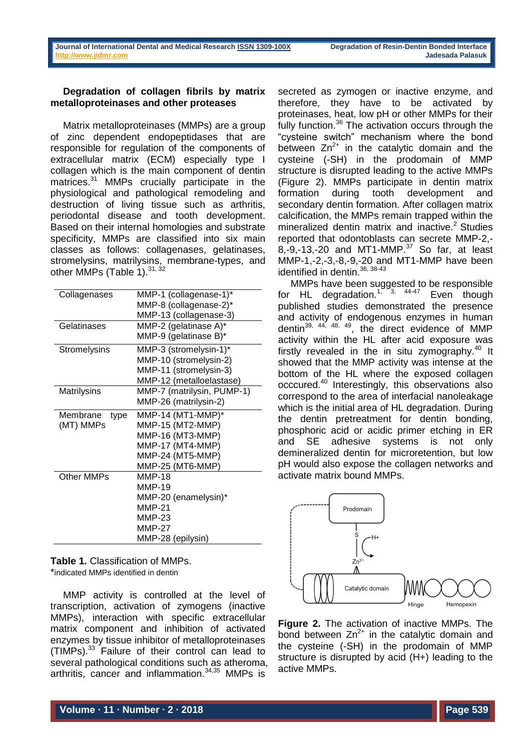### **Degradation of collagen fibrils by matrix metalloproteinases and other proteases**

Matrix metalloproteinases (MMPs) are a group of zinc dependent endopeptidases that are responsible for regulation of the components of extracellular matrix (ECM) especially type I collagen which is the main component of dentin matrices.<sup>31</sup> MMPs crucially participate in the physiological and pathological remodeling and destruction of living tissue such as arthritis, periodontal disease and tooth development. Based on their internal homologies and substrate specificity, MMPs are classified into six main classes as follows: collagenases, gelatinases, stromelysins, matrilysins, membrane-types, and other MMPs (Table 1).<sup>31, 32</sup>

| Collagenases        | MMP-1 (collagenase-1)*     |
|---------------------|----------------------------|
|                     | MMP-8 (collagenase-2)*     |
|                     | MMP-13 (collagenase-3)     |
| Gelatinases         | MMP-2 (gelatinase A)*      |
|                     | MMP-9 (gelatinase B)*      |
| <b>Stromelysins</b> | MMP-3 (stromelysin-1)*     |
|                     | MMP-10 (stromelysin-2)     |
|                     | MMP-11 (stromelysin-3)     |
|                     | MMP-12 (metalloelastase)   |
| Matrilysins         | MMP-7 (matrilysin, PUMP-1) |
|                     | MMP-26 (matrilysin-2)      |
| Membrane<br>type    | MMP-14 (MT1-MMP)*          |
| (MT) MMPs           | MMP-15 (MT2-MMP)           |
|                     | MMP-16 (MT3-MMP)           |
|                     | MMP-17 (MT4-MMP)           |
|                     | MMP-24 (MT5-MMP)           |
|                     | MMP-25 (MT6-MMP)           |
| Other MMPs          | <b>MMP-18</b>              |
|                     | <b>MMP-19</b>              |
|                     | MMP-20 (enamelysin)*       |
|                     | <b>MMP-21</b>              |
|                     | <b>MMP-23</b>              |
|                     | MMP-27                     |
|                     | MMP-28 (epilysin)          |
|                     |                            |

**Table 1.** Classification of MMPs. \*indicated MMPs identified in dentin

MMP activity is controlled at the level of transcription, activation of zymogens (inactive MMPs), interaction with specific extracellular matrix component and inhibition of activated enzymes by tissue inhibitor of metalloproteinases (TIMPs).<sup>33</sup> Failure of their control can lead to several pathological conditions such as atheroma, arthritis, cancer and inflammation.34,35 MMPs is

secreted as zymogen or inactive enzyme, and therefore, they have to be activated by proteinases, heat, low pH or other MMPs for their fully function.<sup>36</sup> The activation occurs through the "cysteine switch" mechanism where the bond between  $Zn^{2+}$  in the catalytic domain and the cysteine (-SH) in the prodomain of MMP structure is disrupted leading to the active MMPs (Figure 2). MMPs participate in dentin matrix formation during tooth development and secondary dentin formation. After collagen matrix calcification, the MMPs remain trapped within the mineralized dentin matrix and inactive.<sup>2</sup> Studies reported that odontoblasts can secrete MMP-2,- 8,-9,-13,-20 and MT1-MMP.<sup>37</sup> So far. at least MMP-1,-2,-3,-8,-9,-20 and MT1-MMP have been identified in dentin.<sup>36, 38-43</sup>

MMPs have been suggested to be responsible for HL degradation.<sup>1, 3, 44-47</sup> Even though published studies demonstrated the presence and activity of endogenous enzymes in human dentin $39, 44, 48, 49$ , the direct evidence of MMP activity within the HL after acid exposure was firstly revealed in the in situ zymography. $40$  It showed that the MMP activity was intense at the bottom of the HL where the exposed collagen occcured.<sup>40</sup> Interestingly, this observations also correspond to the area of interfacial nanoleakage which is the initial area of HL degradation. During the dentin pretreatment for dentin bonding, phosphoric acid or acidic primer etching in ER and SE adhesive systems is not only demineralized dentin for microretention, but low pH would also expose the collagen networks and activate matrix bound MMPs.



**Figure 2.** The activation of inactive MMPs. The bond between  $Zn^{2+}$  in the catalytic domain and the cysteine (-SH) in the prodomain of MMP structure is disrupted by acid (H+) leading to the active MMPs.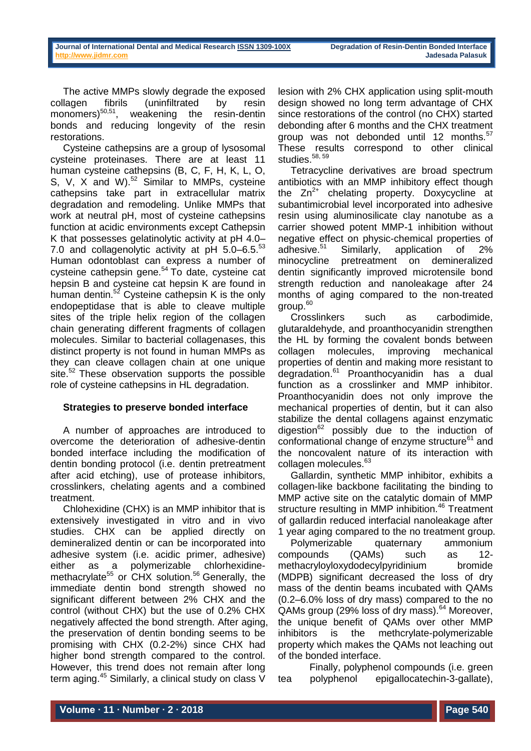The active MMPs slowly degrade the exposed collagen fibrils (uninfiltrated by resin monomers) $50,51$ , weakening the resin-dentin bonds and reducing longevity of the resin restorations.

Cysteine cathepsins are a group of lysosomal cysteine proteinases. There are at least 11 human cysteine cathepsins (B, C, F, H, K, L, O, S, V, X and W).<sup>52</sup> Similar to MMPs, cysteine cathepsins take part in extracellular matrix degradation and remodeling. Unlike MMPs that work at neutral pH, most of cysteine cathepsins function at acidic environments except Cathepsin K that possesses gelatinolytic activity at pH 4.0– 7.0 and collagenolytic activity at pH 5.0-6.5.<sup>53</sup> Human odontoblast can express a number of cysteine cathepsin gene.<sup>54</sup> To date, cysteine cat hepsin B and cysteine cat hepsin K are found in human dentin. $5^2$  Cysteine cathepsin K is the only endopeptidase that is able to cleave multiple sites of the triple helix region of the collagen chain generating different fragments of collagen molecules. Similar to bacterial collagenases, this distinct property is not found in human MMPs as they can cleave collagen chain at one unique site.<sup>52</sup> These observation supports the possible role of cysteine cathepsins in HL degradation.

# **Strategies to preserve bonded interface**

A number of approaches are introduced to overcome the deterioration of adhesive-dentin bonded interface including the modification of dentin bonding protocol (i.e. dentin pretreatment after acid etching), use of protease inhibitors, crosslinkers, chelating agents and a combined treatment.

Chlohexidine (CHX) is an MMP inhibitor that is extensively investigated in vitro and in vivo studies. CHX can be applied directly on demineralized dentin or can be incorporated into adhesive system (i.e. acidic primer, adhesive) either as a polymerizable chlorhexidinemethacrylate<sup>55</sup> or CHX solution.<sup>56</sup> Generally, the immediate dentin bond strength showed no significant different between 2% CHX and the control (without CHX) but the use of 0.2% CHX negatively affected the bond strength. After aging, the preservation of dentin bonding seems to be promising with CHX (0.2-2%) since CHX had higher bond strength compared to the control. However, this trend does not remain after long term aging.<sup>45</sup> Similarly, a clinical study on class V

lesion with 2% CHX application using split-mouth design showed no long term advantage of CHX since restorations of the control (no CHX) started debonding after 6 months and the CHX treatment group was not debonded until 12 months.<sup>57</sup> These results correspond to other clinical studies.<sup>58, 59</sup>

Tetracycline derivatives are broad spectrum antibiotics with an MMP inhibitory effect though the  $Zn^{2+}$  chelating property. Doxycycline at subantimicrobial level incorporated into adhesive resin using aluminosilicate clay nanotube as a carrier showed potent MMP-1 inhibition without negative effect on physic-chemical properties of<br>adhesive.<sup>51</sup> Similarly, application of 2% Similarly, application of 2% minocycline pretreatment on demineralized dentin significantly improved microtensile bond strength reduction and nanoleakage after 24 months of aging compared to the non-treated group.<sup>60</sup>

Crosslinkers such as carbodimide, glutaraldehyde, and proanthocyanidin strengthen the HL by forming the covalent bonds between collagen molecules, improving mechanical properties of dentin and making more resistant to degradation.<sup>61</sup> Proanthocyanidin has a dual function as a crosslinker and MMP inhibitor. Proanthocyanidin does not only improve the mechanical properties of dentin, but it can also stabilize the dental collagens against enzymatic digestion<sup>62</sup> possibly due to the induction of conformational change of enzyme structure<sup>61</sup> and the noncovalent nature of its interaction with collagen molecules.<sup>63</sup>

Gallardin, synthetic MMP inhibitor, exhibits a collagen-like backbone facilitating the binding to MMP active site on the catalytic domain of MMP structure resulting in MMP inhibition.<sup>46</sup> Treatment of gallardin reduced interfacial nanoleakage after 1 year aging compared to the no treatment group.

Polymerizable quaternary ammonium compounds (QAMs) such as 12 methacryloyloxydodecylpyridinium bromide (MDPB) significant decreased the loss of dry mass of the dentin beams incubated with QAMs (0.2–6.0% loss of dry mass) compared to the no QAMs group (29% loss of dry mass).<sup>64</sup> Moreover, the unique benefit of QAMs over other MMP inhibitors is the methcrylate-polymerizable property which makes the QAMs not leaching out of the bonded interface.

Finally, polyphenol compounds (i.e. green tea polyphenol epigallocatechin-3-gallate),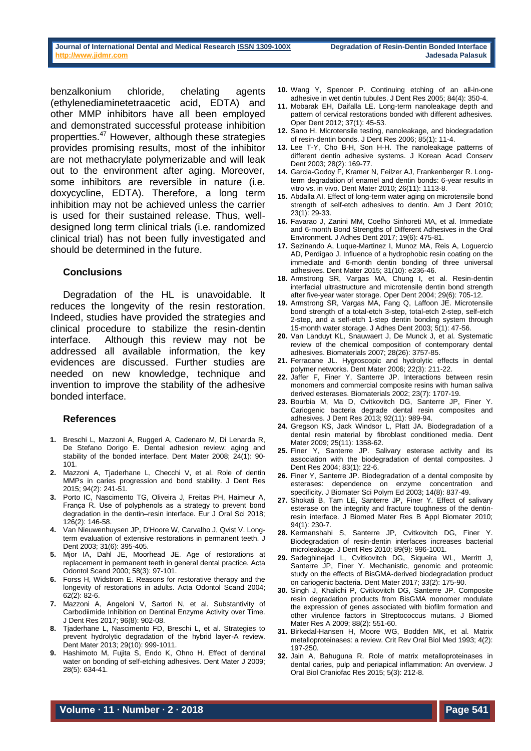benzalkonium chloride, chelating agents (ethylenediaminetetraacetic acid, EDTA) and other MMP inhibitors have all been employed and demonstrated successful protease inhibition propertties.<sup>47</sup> However, although these strategies provides promising results, most of the inhibitor are not methacrylate polymerizable and will leak out to the environment after aging. Moreover, some inhibitors are reversible in nature (i.e. doxycycline, EDTA). Therefore, a long term inhibition may not be achieved unless the carrier is used for their sustained release. Thus, welldesigned long term clinical trials (i.e. randomized clinical trial) has not been fully investigated and should be determined in the future.

### **Conclusions**

Degradation of the HL is unavoidable. It reduces the longevity of the resin restoration. Indeed, studies have provided the strategies and clinical procedure to stabilize the resin-dentin interface. Although this review may not be addressed all available information, the key evidences are discussed. Further studies are needed on new knowledge, technique and invention to improve the stability of the adhesive bonded interface.

### **References**

- **1.** Breschi L, Mazzoni A, Ruggeri A, Cadenaro M, Di Lenarda R, De Stefano Dorigo E. Dental adhesion review: aging and stability of the bonded interface. Dent Mater 2008; 24(1): 90- 101.
- **2.** Mazzoni A, Tjaderhane L, Checchi V, et al. Role of dentin MMPs in caries progression and bond stability. J Dent Res 2015; 94(2): 241-51.
- **3.** Porto IC, Nascimento TG, Oliveira J, Freitas PH, Haimeur A, França R. Use of polyphenols as a strategy to prevent bond degradation in the dentin-resin interface. Eur J Oral Sci 2018; 126(2): 146-58.
- **4.** Van Nieuwenhuysen JP, D'Hoore W, Carvalho J, Qvist V. Longterm evaluation of extensive restorations in permanent teeth. J Dent 2003; 31(6): 395-405.
- **5.** Mjor IA, Dahl JE, Moorhead JE. Age of restorations at replacement in permanent teeth in general dental practice. Acta Odontol Scand 2000; 58(3): 97-101.
- **6.** Forss H, Widstrom E. Reasons for restorative therapy and the longevity of restorations in adults. Acta Odontol Scand 2004; 62(2): 82-6.
- **7.** Mazzoni A, Angeloni V, Sartori N, et al. Substantivity of Carbodiimide Inhibition on Dentinal Enzyme Activity over Time. J Dent Res 2017; 96(8): 902-08.
- **8.** Tjaderhane L, Nascimento FD, Breschi L, et al. Strategies to prevent hydrolytic degradation of the hybrid layer-A review. Dent Mater 2013; 29(10): 999-1011.
- **9.** Hashimoto M, Fujita S, Endo K, Ohno H. Effect of dentinal water on bonding of self-etching adhesives. Dent Mater J 2009; 28(5): 634-41.
- **10.** Wang Y, Spencer P. Continuing etching of an all-in-one adhesive in wet dentin tubules. J Dent Res 2005; 84(4): 350-4.
- **11.** Mobarak EH, Daifalla LE. Long-term nanoleakage depth and pattern of cervical restorations bonded with different adhesives. Oper Dent 2012; 37(1): 45-53.
- **12.** Sano H. Microtensile testing, nanoleakage, and biodegradation of resin-dentin bonds. J Dent Res 2006; 85(1): 11-4.
- **13.** Lee T-Y, Cho B-H, Son H-H. The nanoleakage patterns of different dentin adhesive systems. J Korean Acad Conserv Dent 2003; 28(2): 169-77.
- **14.** Garcia-Godoy F, Kramer N, Feilzer AJ, Frankenberger R. Longterm degradation of enamel and dentin bonds: 6-year results in vitro vs. in vivo. Dent Mater 2010; 26(11): 1113-8.
- **15.** Abdalla AI. Effect of long-term water aging on microtensile bond strength of self-etch adhesives to dentin. Am J Dent 2010; 23(1): 29-33.
- **16.** Favarao J, Zanini MM, Coelho Sinhoreti MA, et al. Immediate and 6-month Bond Strengths of Different Adhesives in the Oral Environment. J Adhes Dent 2017; 19(6): 475-81.
- **17.** Sezinando A, Luque-Martinez I, Munoz MA, Reis A, Loguercio AD, Perdigao J. Influence of a hydrophobic resin coating on the immediate and 6-month dentin bonding of three universal adhesives. Dent Mater 2015; 31(10): e236-46.
- **18.** Armstrong SR, Vargas MA, Chung I, et al. Resin-dentin interfacial ultrastructure and microtensile dentin bond strength after five-year water storage. Oper Dent 2004; 29(6): 705-12.
- **19.** Armstrong SR, Vargas MA, Fang Q, Laffoon JE. Microtensile bond strength of a total-etch 3-step, total-etch 2-step, self-etch 2-step, and a self-etch 1-step dentin bonding system through 15-month water storage. J Adhes Dent 2003; 5(1): 47-56.
- **20.** Van Landuyt KL, Snauwaert J, De Munck J, et al. Systematic review of the chemical composition of contemporary dental adhesives. Biomaterials 2007; 28(26): 3757-85.
- **21.** Ferracane JL. Hygroscopic and hydrolytic effects in dental polymer networks. Dent Mater 2006; 22(3): 211-22.
- **22.** Jaffer F, Finer Y, Santerre JP. Interactions between resin monomers and commercial composite resins with human saliva derived esterases. Biomaterials 2002; 23(7): 1707-19.
- **23.** Bourbia M, Ma D, Cvitkovitch DG, Santerre JP, Finer Y. Cariogenic bacteria degrade dental resin composites and adhesives. J Dent Res 2013; 92(11): 989-94.
- **24.** Gregson KS, Jack Windsor L, Platt JA. Biodegradation of a dental resin material by fibroblast conditioned media. Dent Mater 2009; 25(11): 1358-62.
- **25.** Finer Y, Santerre JP. Salivary esterase activity and its association with the biodegradation of dental composites. J Dent Res 2004; 83(1): 22-6.
- **26.** Finer Y, Santerre JP. Biodegradation of a dental composite by esterases: dependence on enzyme concentration and specificity. J Biomater Sci Polym Ed 2003; 14(8): 837-49.
- **27.** Shokati B, Tam LE, Santerre JP, Finer Y. Effect of salivary esterase on the integrity and fracture toughness of the dentinresin interface. J Biomed Mater Res B Appl Biomater 2010; 94(1): 230-7.
- **28.** Kermanshahi S, Santerre JP, Cvitkovitch DG, Finer Y. Biodegradation of resin-dentin interfaces increases bacterial microleakage. J Dent Res 2010; 89(9): 996-1001.
- **29.** Sadeghinejad L, Cvitkovitch DG, Siqueira WL, Merritt J, Santerre JP, Finer Y. Mechanistic, genomic and proteomic study on the effects of BisGMA-derived biodegradation product on cariogenic bacteria. Dent Mater 2017; 33(2): 175-90.
- **30.** Singh J, Khalichi P, Cvitkovitch DG, Santerre JP. Composite resin degradation products from BisGMA monomer modulate the expression of genes associated with biofilm formation and other virulence factors in Streptococcus mutans. J Biomed Mater Res A 2009; 88(2): 551-60.
- **31.** Birkedal-Hansen H, Moore WG, Bodden MK, et al. Matrix metalloproteinases: a review. Crit Rev Oral Biol Med 1993; 4(2): 197-250.
- **32.** Jain A, Bahuguna R. Role of matrix metalloproteinases in dental caries, pulp and periapical inflammation: An overview. J Oral Biol Craniofac Res 2015; 5(3): 212-8.